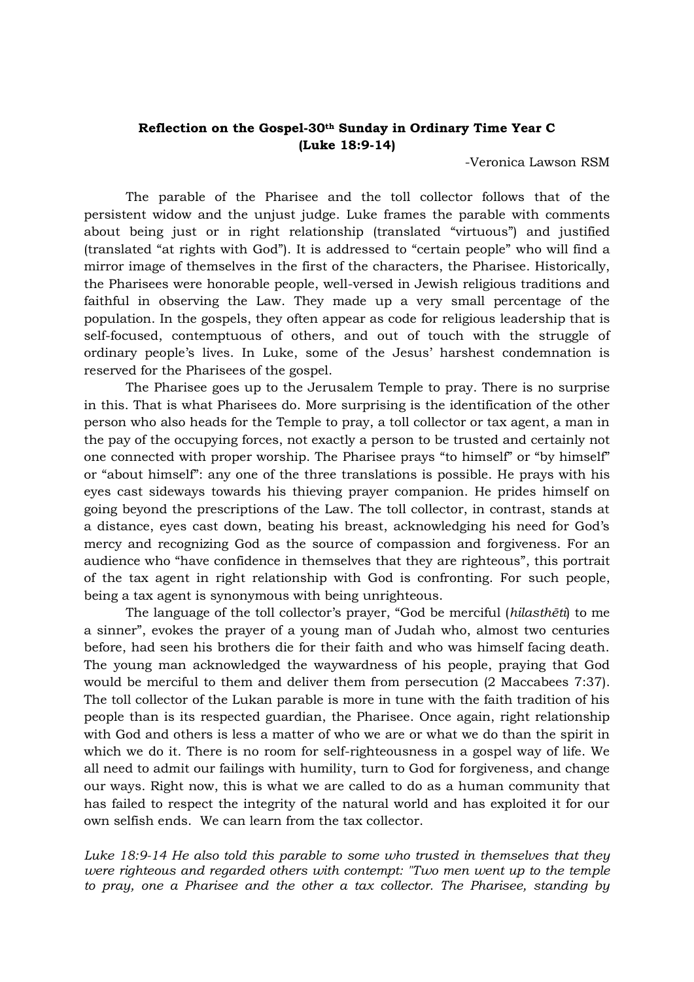## **Reflection on the Gospel-30th Sunday in Ordinary Time Year C (Luke 18:9-14)**

-Veronica Lawson RSM

The parable of the Pharisee and the toll collector follows that of the persistent widow and the unjust judge. Luke frames the parable with comments about being just or in right relationship (translated "virtuous") and justified (translated "at rights with God"). It is addressed to "certain people" who will find a mirror image of themselves in the first of the characters, the Pharisee. Historically, the Pharisees were honorable people, well-versed in Jewish religious traditions and faithful in observing the Law. They made up a very small percentage of the population. In the gospels, they often appear as code for religious leadership that is self-focused, contemptuous of others, and out of touch with the struggle of ordinary people's lives. In Luke, some of the Jesus' harshest condemnation is reserved for the Pharisees of the gospel.

The Pharisee goes up to the Jerusalem Temple to pray. There is no surprise in this. That is what Pharisees do. More surprising is the identification of the other person who also heads for the Temple to pray, a toll collector or tax agent, a man in the pay of the occupying forces, not exactly a person to be trusted and certainly not one connected with proper worship. The Pharisee prays "to himself" or "by himself" or "about himself": any one of the three translations is possible. He prays with his eyes cast sideways towards his thieving prayer companion. He prides himself on going beyond the prescriptions of the Law. The toll collector, in contrast, stands at a distance, eyes cast down, beating his breast, acknowledging his need for God's mercy and recognizing God as the source of compassion and forgiveness. For an audience who "have confidence in themselves that they are righteous", this portrait of the tax agent in right relationship with God is confronting. For such people, being a tax agent is synonymous with being unrighteous.

The language of the toll collector's prayer, "God be merciful (*hilasthēti*) to me a sinner", evokes the prayer of a young man of Judah who, almost two centuries before, had seen his brothers die for their faith and who was himself facing death. The young man acknowledged the waywardness of his people, praying that God would be merciful to them and deliver them from persecution (2 Maccabees 7:37). The toll collector of the Lukan parable is more in tune with the faith tradition of his people than is its respected guardian, the Pharisee. Once again, right relationship with God and others is less a matter of who we are or what we do than the spirit in which we do it. There is no room for self-righteousness in a gospel way of life. We all need to admit our failings with humility, turn to God for forgiveness, and change our ways. Right now, this is what we are called to do as a human community that has failed to respect the integrity of the natural world and has exploited it for our own selfish ends. We can learn from the tax collector.

*Luke 18:9-14 He also told this parable to some who trusted in themselves that they were righteous and regarded others with contempt: "Two men went up to the temple to pray, one a Pharisee and the other a tax collector. The Pharisee, standing by*